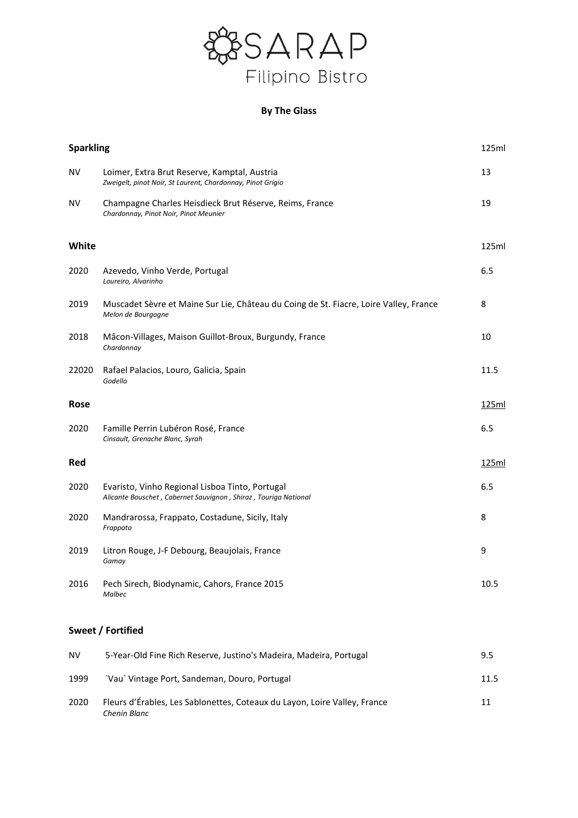

# **By The Glass**

|       | <b>Sparkling</b>                                                                                                   |       |
|-------|--------------------------------------------------------------------------------------------------------------------|-------|
| ΝV    | Loimer, Extra Brut Reserve, Kamptal, Austria<br>Zweigelt, pinot Noir, St Laurent, Chardonnay, Pinot Grigio         | 13    |
| NV    | Champagne Charles Heisdieck Brut Réserve, Reims, France<br>Chardonnay, Pinot Noir, Pinot Meunier                   | 19    |
| White |                                                                                                                    | 125ml |
| 2020  | Azevedo, Vinho Verde, Portugal<br>Loureiro, Alvarinho                                                              | 6.5   |
| 2019  | Muscadet Sèvre et Maine Sur Lie, Château du Coing de St. Fiacre, Loire Valley, France<br>Melon de Bourgogne        | 8     |
| 2018  | Mâcon-Villages, Maison Guillot-Broux, Burgundy, France<br>Chardonnay                                               | 10    |
| 22020 | Rafael Palacios, Louro, Galicia, Spain<br>Godello                                                                  | 11.5  |
| Rose  |                                                                                                                    | 125ml |
| 2020  | Famille Perrin Lubéron Rosé, France<br>Cinsault, Grenache Blanc, Syrah                                             | 6.5   |
| Red   |                                                                                                                    | 125ml |
| 2020  | Evaristo, Vinho Regional Lisboa Tinto, Portugal<br>Alicante Bouschet, Cabernet Sauvignon, Shiraz, Touriga National | 6.5   |
| 2020  | Mandrarossa, Frappato, Costadune, Sicily, Italy<br>Frappato                                                        | 8     |
| 2019  | Litron Rouge, J-F Debourg, Beaujolais, France<br>Gamay                                                             | 9     |
| 2016  | Pech Sirech, Biodynamic, Cahors, France 2015<br>Malbec                                                             | 10.5  |

## **Sweet / Fortified**

| <b>NV</b> | 5-Year-Old Fine Rich Reserve, Justino's Madeira, Madeira, Portugal                        | 9.5  |
|-----------|-------------------------------------------------------------------------------------------|------|
| 1999      | 'Vau' Vintage Port, Sandeman, Douro, Portugal                                             | 11.5 |
| 2020      | Fleurs d'Érables, Les Sablonettes, Coteaux du Layon, Loire Valley, France<br>Chenin Blanc | 11   |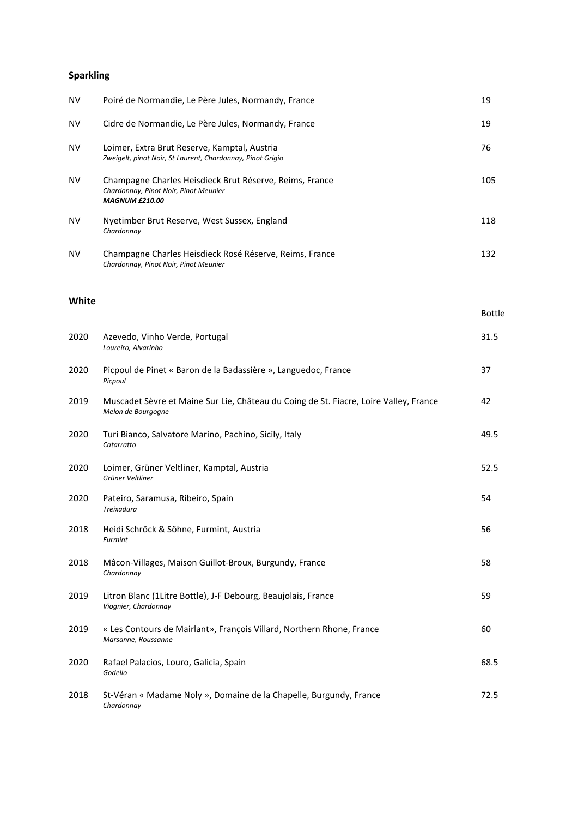# **Sparkling**

*Godello*

| NV    | Poiré de Normandie, Le Père Jules, Normandy, France                                                                       | 19            |
|-------|---------------------------------------------------------------------------------------------------------------------------|---------------|
| ΝV    | Cidre de Normandie, Le Père Jules, Normandy, France                                                                       | 19            |
| ΝV    | Loimer, Extra Brut Reserve, Kamptal, Austria<br>Zweigelt, pinot Noir, St Laurent, Chardonnay, Pinot Grigio                | 76            |
| ΝV    | Champagne Charles Heisdieck Brut Réserve, Reims, France<br>Chardonnay, Pinot Noir, Pinot Meunier<br><b>MAGNUM £210.00</b> | 105           |
| ΝV    | Nyetimber Brut Reserve, West Sussex, England<br>Chardonnay                                                                | 118           |
| ΝV    | Champagne Charles Heisdieck Rosé Réserve, Reims, France<br>Chardonnay, Pinot Noir, Pinot Meunier                          | 132           |
| White |                                                                                                                           | <b>Bottle</b> |
|       |                                                                                                                           |               |
| 2020  | Azevedo, Vinho Verde, Portugal<br>Loureiro, Alvarinho                                                                     | 31.5          |
| 2020  | Picpoul de Pinet « Baron de la Badassière », Languedoc, France<br>Picpoul                                                 | 37            |
| 2019  | Muscadet Sèvre et Maine Sur Lie, Château du Coing de St. Fiacre, Loire Valley, France<br>Melon de Bourgogne               | 42            |
| 2020  | Turi Bianco, Salvatore Marino, Pachino, Sicily, Italy<br>Catarratto                                                       | 49.5          |
| 2020  | Loimer, Grüner Veltliner, Kamptal, Austria<br>Grüner Veltliner                                                            | 52.5          |
| 2020  | Pateiro, Saramusa, Ribeiro, Spain<br>Treixadura                                                                           | 54            |
| 2018  | Heidi Schröck & Söhne, Furmint, Austria<br><b>Furmint</b>                                                                 | 56            |
| 2018  | Mâcon-Villages, Maison Guillot-Broux, Burgundy, France<br>Chardonnay                                                      | 58            |
| 2019  | Litron Blanc (1Litre Bottle), J-F Debourg, Beaujolais, France<br>Viognier, Chardonnay                                     | 59            |
| 2019  | « Les Contours de Mairlant», François Villard, Northern Rhone, France<br>Marsanne, Roussanne                              | 60            |
|       |                                                                                                                           |               |

2018 St-Véran « Madame Noly », Domaine de la Chapelle, Burgundy, France 72.5 *Chardonnay*

2020 Rafael Palacios, Louro, Galicia, Spain 68.5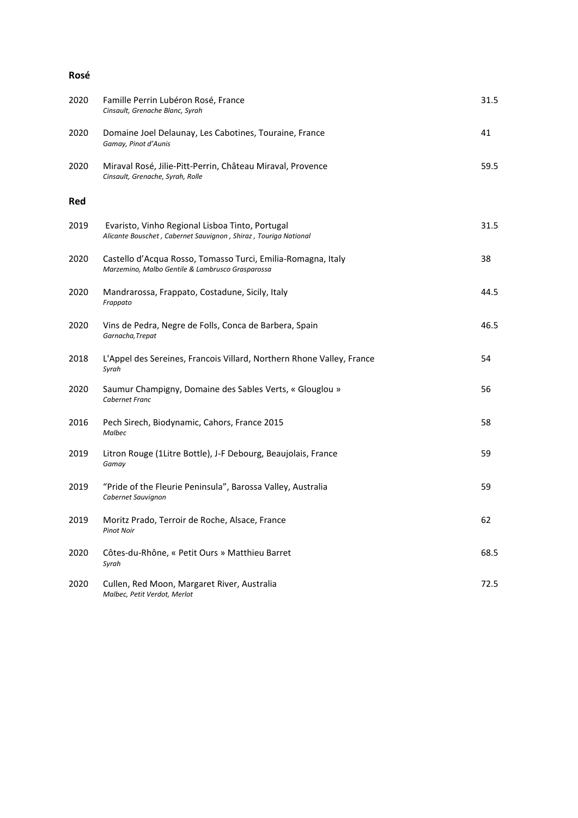#### **Rosé**

| 2020 | Famille Perrin Lubéron Rosé, France<br>Cinsault, Grenache Blanc, Syrah                                             | 31.5 |
|------|--------------------------------------------------------------------------------------------------------------------|------|
| 2020 | Domaine Joel Delaunay, Les Cabotines, Touraine, France<br>Gamay, Pinot d'Aunis                                     | 41   |
| 2020 | Miraval Rosé, Jilie-Pitt-Perrin, Château Miraval, Provence<br>Cinsault, Grenache, Syrah, Rolle                     | 59.5 |
| Red  |                                                                                                                    |      |
| 2019 | Evaristo, Vinho Regional Lisboa Tinto, Portugal<br>Alicante Bouschet, Cabernet Sauvignon, Shiraz, Touriga National | 31.5 |
| 2020 | Castello d'Acqua Rosso, Tomasso Turci, Emilia-Romagna, Italy<br>Marzemino, Malbo Gentile & Lambrusco Grasparossa   | 38   |
| 2020 | Mandrarossa, Frappato, Costadune, Sicily, Italy<br>Frappato                                                        | 44.5 |
| 2020 | Vins de Pedra, Negre de Folls, Conca de Barbera, Spain<br>Garnacha, Trepat                                         | 46.5 |
| 2018 | L'Appel des Sereines, Francois Villard, Northern Rhone Valley, France<br>Syrah                                     | 54   |
| 2020 | Saumur Champigny, Domaine des Sables Verts, « Glouglou »<br>Cabernet Franc                                         | 56   |
| 2016 | Pech Sirech, Biodynamic, Cahors, France 2015<br>Malbec                                                             | 58   |
| 2019 | Litron Rouge (1Litre Bottle), J-F Debourg, Beaujolais, France<br>Gamay                                             | 59   |
| 2019 | "Pride of the Fleurie Peninsula", Barossa Valley, Australia<br>Cabernet Sauvignon                                  | 59   |
| 2019 | Moritz Prado, Terroir de Roche, Alsace, France<br><b>Pinot Noir</b>                                                | 62   |
| 2020 | Côtes-du-Rhône, « Petit Ours » Matthieu Barret<br>Syrah                                                            | 68.5 |
| 2020 | Cullen, Red Moon, Margaret River, Australia<br>Malbec, Petit Verdot, Merlot                                        | 72.5 |